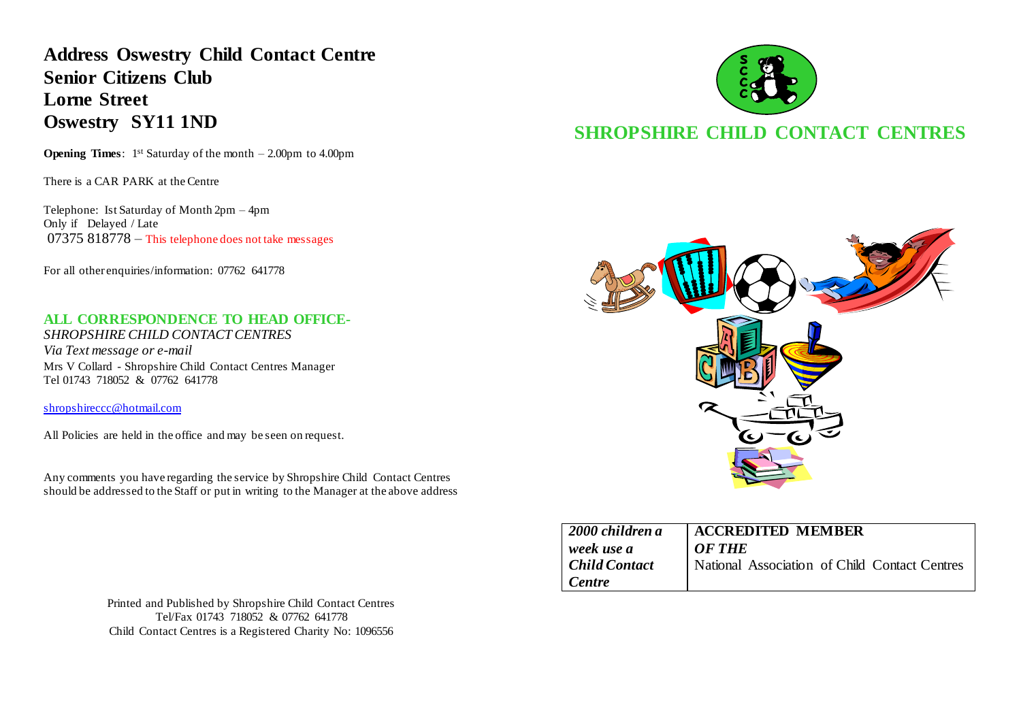**Address Oswestry Child Contact Centre Senior Citizens Club Lorne Street Oswestry SY11 1ND**

**Opening Times**: 1<sup>st</sup> Saturday of the month – 2.00pm to 4.00pm

There is a CAR PARK at the Centre

Telephone: Ist Saturday of Month 2pm – 4pm Only if Delayed / Late  $07375818778$  – This telephone does not take messages

For all other enquiries/information: 07762 641778

#### **ALL CORRESPONDENCE TO HEAD OFFICE-**

*SHROPSHIRE CHILD CONTACT CENTRES Via Text message or e-mail* Mrs V Collard - Shropshire Child Contact Centres Manager Tel 01743 718052 & 07762 641778

[shropshireccc@hotmail.com](mailto:shropshireccc@hotmail.com)

All Policies are held in the office and may be seen on request.

Any comments you have regarding the service by Shropshire Child Contact Centres should be addressed to the Staff or put in writing to the Manager at the above address

> Printed and Published by Shropshire Child Contact Centres Tel/Fax 01743 718052 & 07762 641778 Child Contact Centres is a Registered Charity No: 1096556



# **SHROPSHIRE CHILD CONTACT CENTRES**



| 2000 children a      | <b>ACCREDITED MEMBER</b>                      |
|----------------------|-----------------------------------------------|
| week use a           | OF THE                                        |
| <b>Child Contact</b> | National Association of Child Contact Centres |
| Centre               |                                               |